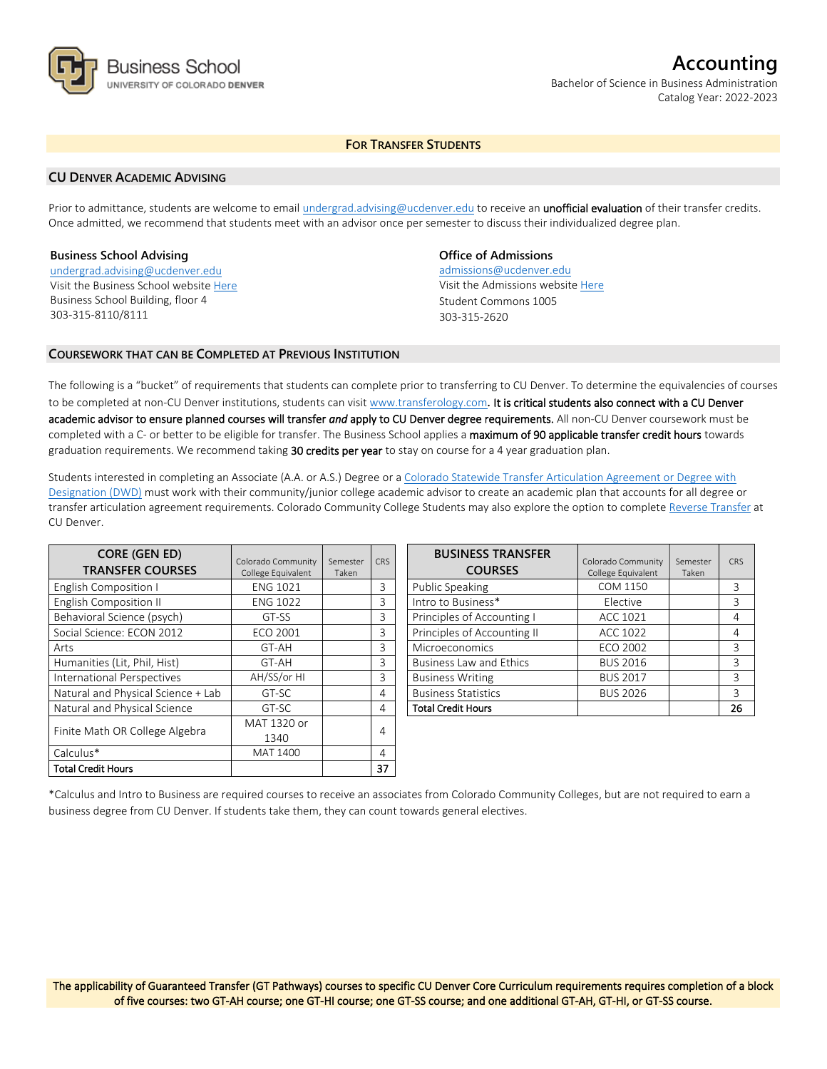

# **Accounting** Bachelor of Science in Business Administration

Catalog Year: 2022-2023

# **FOR TRANSFER STUDENTS**

## **CU DENVER ACADEMIC ADVISING**

Prior to admittance, students are welcome to email [undergrad.advising@ucdenver.edu](mailto:undergrad.advising@ucdenver.edu) to receive an *unofficial evaluation* of their transfer credits. Once admitted, we recommend that students meet with an advisor once per semester to discuss their individualized degree plan.

## **Business School Advising**

[undergrad.advising@ucdenver.edu](mailto:undergrad.advising@ucdenver.edu) Visit the Business School websit[e Here](http://www.ucdenver.edu/academics/colleges/business/Pages/business-school.aspx)  Business School Building, floor 4 303-315-8110/8111

## **Office of Admissions**

admissions@ucdenver.edu Visit the Admissions website [Here](http://www.ucdenver.edu/admissions/) Student Commons 1005 303-315-2620

## **COURSEWORK THAT CAN BE COMPLETED AT PREVIOUS INSTITUTION**

The following is a "bucket" of requirements that students can complete prior to transferring to CU Denver. To determine the equivalencies of courses to be completed at non-CU Denver institutions, students can visit [www.transferology.com](http://www.transferology.com/)**.** It is critical students also connect with a CU Denver academic advisor to ensure planned courses will transfer *and* apply to CU Denver degree requirements. All non-CU Denver coursework must be completed with a C- or better to be eligible for transfer. The Business School applies a maximum of 90 applicable transfer credit hours towards graduation requirements. We recommend taking 30 credits per year to stay on course for a 4 year graduation plan.

Students interested in completing an Associate (A.A. or A.S.) Degree or a [Colorado Statewide Transfer Articulation Agreement or Degree with](https://highered.colorado.gov/Academics/Transfers/TransferDegrees.html)  [Designation \(DWD\)](https://highered.colorado.gov/Academics/Transfers/TransferDegrees.html) must work with their community/junior college academic advisor to create an academic plan that accounts for all degree or transfer articulation agreement requirements. Colorado Community College Students may also explore the option to complet[e Reverse Transfer](https://degreewithinreach.wordpress.com/) at CU Denver.

| <b>CORE (GEN ED)</b><br><b>TRANSFER COURSES</b> | Colorado Community<br>College Equivalent | Semester<br>Taken | <b>CRS</b> |
|-------------------------------------------------|------------------------------------------|-------------------|------------|
| <b>English Composition I</b>                    | <b>ENG 1021</b>                          |                   | 3          |
| English Composition II                          | <b>ENG 1022</b>                          |                   | 3          |
| Behavioral Science (psych)                      | GT-SS                                    |                   | 3          |
| Social Science: ECON 2012                       | <b>ECO 2001</b>                          |                   | 3          |
| Arts                                            | GT-AH                                    |                   | 3          |
| Humanities (Lit, Phil, Hist)                    | GT-AH                                    |                   | 3          |
| International Perspectives                      | AH/SS/or HI                              |                   | 3          |
| Natural and Physical Science + Lab              | GT-SC                                    |                   | 4          |
| Natural and Physical Science                    | GT-SC                                    |                   | 4          |
| Finite Math OR College Algebra                  | MAT 1320 or                              |                   |            |
|                                                 | 1340                                     |                   | 4          |
| Calculus*                                       | MAT 1400                                 |                   | 4          |
| <b>Total Credit Hours</b>                       |                                          |                   | 37         |

| <b>BUSINESS TRANSFER</b><br><b>COURSES</b> | Colorado Community<br>College Equivalent | Semester<br>Taken | CRS |
|--------------------------------------------|------------------------------------------|-------------------|-----|
| Public Speaking                            | COM 1150                                 |                   | 3   |
| Intro to Business*                         | Elective                                 |                   | 3   |
| Principles of Accounting I                 | ACC 1021                                 |                   | 4   |
| Principles of Accounting II                | ACC 1022                                 |                   | 4   |
| Microeconomics                             | ECO 2002                                 |                   | 3   |
| <b>Business Law and Ethics</b>             | <b>BUS 2016</b>                          |                   | 3   |
| <b>Business Writing</b>                    | <b>BUS 2017</b>                          |                   | ς   |
| <b>Business Statistics</b>                 | <b>BUS 2026</b>                          |                   | 3   |
| <b>Total Credit Hours</b>                  |                                          |                   | 26  |

\*Calculus and Intro to Business are required courses to receive an associates from Colorado Community Colleges, but are not required to earn a business degree from CU Denver. If students take them, they can count towards general electives.